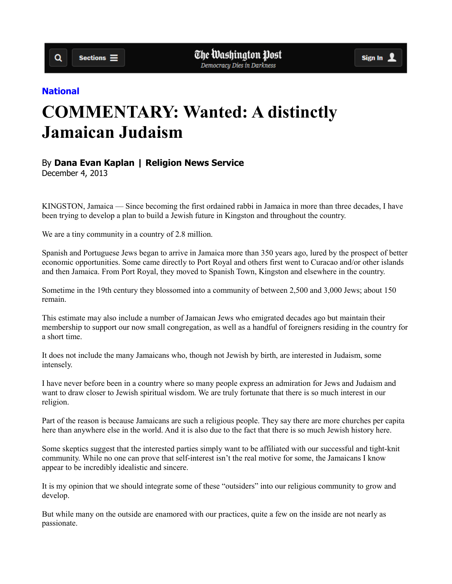## **National**

 $\alpha$ 

## **COMMENTARY: Wanted: A distinctly Jamaican Judaism**

## By **Dana Evan Kaplan | Religion News Service**

December 4, 2013

KINGSTON, Jamaica — Since becoming the first ordained rabbi in Jamaica in more than three decades, I have been trying to develop a plan to build a Jewish future in Kingston and throughout the country.

We are a tiny community in a country of 2.8 million.

Spanish and Portuguese Jews began to arrive in Jamaica more than 350 years ago, lured by the prospect of better economic opportunities. Some came directly to Port Royal and others first went to Curacao and/or other islands and then Jamaica. From Port Royal, they moved to Spanish Town, Kingston and elsewhere in the country.

Sometime in the 19th century they blossomed into a community of between 2,500 and 3,000 Jews; about 150 remain.

This estimate may also include a number of Jamaican Jews who emigrated decades ago but maintain their membership to support our now small congregation, as well as a handful of foreigners residing in the country for a short time.

It does not include the many Jamaicans who, though not Jewish by birth, are interested in Judaism, some intensely.

I have never before been in a country where so many people express an admiration for Jews and Judaism and want to draw closer to Jewish spiritual wisdom. We are truly fortunate that there is so much interest in our religion.

Part of the reason is because Jamaicans are such a religious people. They say there are more churches per capita here than anywhere else in the world. And it is also due to the fact that there is so much Jewish history here.

Some skeptics suggest that the interested parties simply want to be affiliated with our successful and tight-knit community. While no one can prove that self-interest isn't the real motive for some, the Jamaicans I know appear to be incredibly idealistic and sincere.

It is my opinion that we should integrate some of these "outsiders" into our religious community to grow and develop.

But while many on the outside are enamored with our practices, quite a few on the inside are not nearly as passionate.